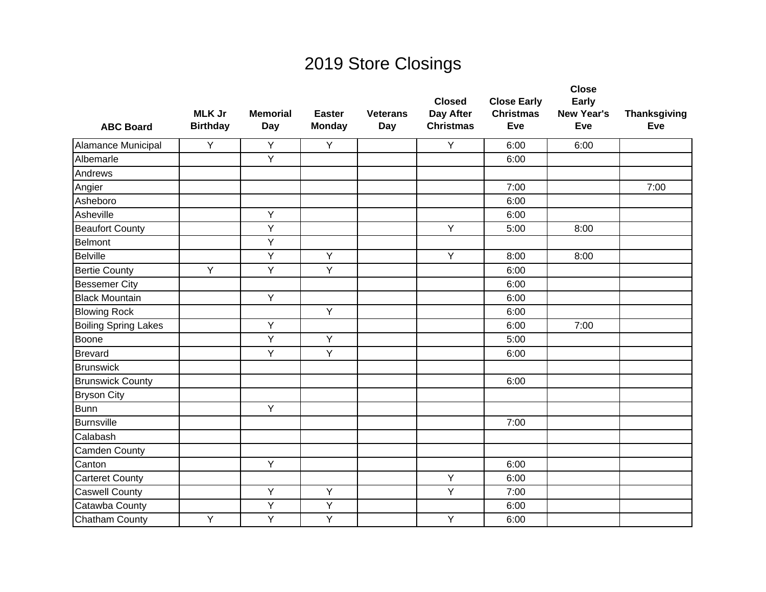| <b>ABC Board</b>            | <b>MLK Jr</b><br><b>Birthday</b> | <b>Memorial</b><br>Day | <b>Easter</b><br><b>Monday</b> | <b>Veterans</b><br>Day | <b>Closed</b><br>Day After<br><b>Christmas</b> | <b>Close Early</b><br><b>Christmas</b><br>Eve | <b>Close</b><br>Early<br><b>New Year's</b><br>Eve | <b>Thanksgiving</b><br>Eve |
|-----------------------------|----------------------------------|------------------------|--------------------------------|------------------------|------------------------------------------------|-----------------------------------------------|---------------------------------------------------|----------------------------|
| Alamance Municipal          | Y                                | Y                      | Y                              |                        | Y                                              | 6:00                                          | 6:00                                              |                            |
| Albemarle                   |                                  | Y                      |                                |                        |                                                | 6:00                                          |                                                   |                            |
| Andrews                     |                                  |                        |                                |                        |                                                |                                               |                                                   |                            |
| Angier                      |                                  |                        |                                |                        |                                                | 7:00                                          |                                                   | 7:00                       |
| Asheboro                    |                                  |                        |                                |                        |                                                | 6:00                                          |                                                   |                            |
| Asheville                   |                                  | Y                      |                                |                        |                                                | 6:00                                          |                                                   |                            |
| <b>Beaufort County</b>      |                                  | $\overline{Y}$         |                                |                        | Y                                              | 5:00                                          | 8:00                                              |                            |
| Belmont                     |                                  | Y                      |                                |                        |                                                |                                               |                                                   |                            |
| <b>Belville</b>             |                                  | Y                      | Y                              |                        | Y                                              | 8:00                                          | 8:00                                              |                            |
| <b>Bertie County</b>        | Y                                | Y                      | Y                              |                        |                                                | 6:00                                          |                                                   |                            |
| <b>Bessemer City</b>        |                                  |                        |                                |                        |                                                | 6:00                                          |                                                   |                            |
| <b>Black Mountain</b>       |                                  | Y                      |                                |                        |                                                | 6:00                                          |                                                   |                            |
| <b>Blowing Rock</b>         |                                  |                        | Y                              |                        |                                                | 6:00                                          |                                                   |                            |
| <b>Boiling Spring Lakes</b> |                                  | Y                      |                                |                        |                                                | 6:00                                          | 7:00                                              |                            |
| Boone                       |                                  | Y                      | Y                              |                        |                                                | 5:00                                          |                                                   |                            |
| <b>Brevard</b>              |                                  | Y                      | Y                              |                        |                                                | 6:00                                          |                                                   |                            |
| <b>Brunswick</b>            |                                  |                        |                                |                        |                                                |                                               |                                                   |                            |
| <b>Brunswick County</b>     |                                  |                        |                                |                        |                                                | 6:00                                          |                                                   |                            |
| <b>Bryson City</b>          |                                  |                        |                                |                        |                                                |                                               |                                                   |                            |
| <b>Bunn</b>                 |                                  | Y                      |                                |                        |                                                |                                               |                                                   |                            |
| Burnsville                  |                                  |                        |                                |                        |                                                | 7:00                                          |                                                   |                            |
| Calabash                    |                                  |                        |                                |                        |                                                |                                               |                                                   |                            |
| Camden County               |                                  |                        |                                |                        |                                                |                                               |                                                   |                            |
| Canton                      |                                  | Y                      |                                |                        |                                                | 6:00                                          |                                                   |                            |
| <b>Carteret County</b>      |                                  |                        |                                |                        | Y                                              | 6:00                                          |                                                   |                            |
| <b>Caswell County</b>       |                                  | Y                      | Y                              |                        | Y                                              | 7:00                                          |                                                   |                            |
| Catawba County              |                                  | Υ                      | Y                              |                        |                                                | 6:00                                          |                                                   |                            |
| Chatham County              | Y                                | Y                      | Y                              |                        | Y                                              | 6:00                                          |                                                   |                            |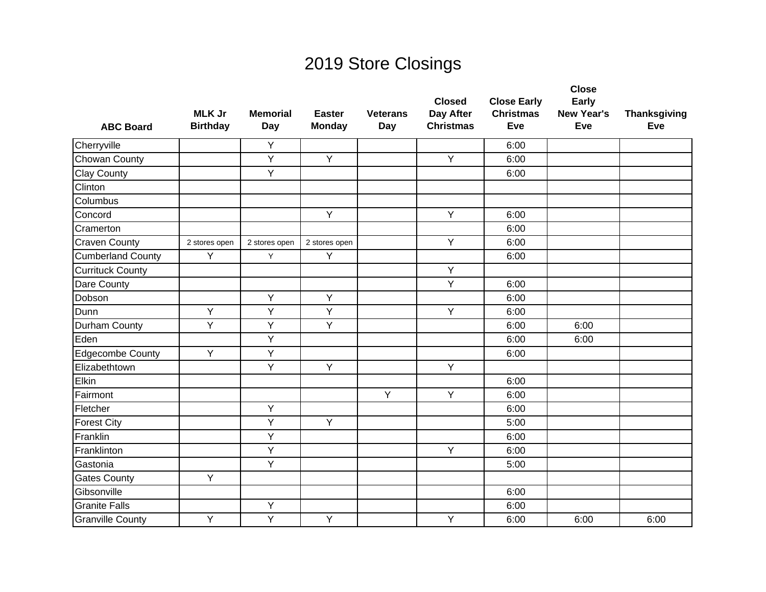| <b>ABC Board</b>         | <b>MLK Jr</b><br><b>Birthday</b> | <b>Memorial</b><br>Day | <b>Easter</b><br><b>Monday</b> | <b>Veterans</b><br>Day | <b>Closed</b><br>Day After<br><b>Christmas</b> | <b>Close Early</b><br><b>Christmas</b><br>Eve | <b>Close</b><br>Early<br><b>New Year's</b><br>Eve | <b>Thanksgiving</b><br>Eve |
|--------------------------|----------------------------------|------------------------|--------------------------------|------------------------|------------------------------------------------|-----------------------------------------------|---------------------------------------------------|----------------------------|
| Cherryville              |                                  | Y                      |                                |                        |                                                | 6:00                                          |                                                   |                            |
| Chowan County            |                                  | Y                      | Y                              |                        | Y                                              | 6:00                                          |                                                   |                            |
| <b>Clay County</b>       |                                  | Y                      |                                |                        |                                                | 6:00                                          |                                                   |                            |
| Clinton                  |                                  |                        |                                |                        |                                                |                                               |                                                   |                            |
| Columbus                 |                                  |                        |                                |                        |                                                |                                               |                                                   |                            |
| Concord                  |                                  |                        | Y                              |                        | Y                                              | 6:00                                          |                                                   |                            |
| Cramerton                |                                  |                        |                                |                        |                                                | 6:00                                          |                                                   |                            |
| <b>Craven County</b>     | 2 stores open                    | 2 stores open          | 2 stores open                  |                        | Y                                              | 6:00                                          |                                                   |                            |
| <b>Cumberland County</b> | Y                                | Y                      | Y                              |                        |                                                | 6:00                                          |                                                   |                            |
| <b>Currituck County</b>  |                                  |                        |                                |                        | Y                                              |                                               |                                                   |                            |
| Dare County              |                                  |                        |                                |                        | Y                                              | 6:00                                          |                                                   |                            |
| Dobson                   |                                  | Y                      | Y                              |                        |                                                | 6:00                                          |                                                   |                            |
| Dunn                     | Y                                | Υ                      | Y                              |                        | Y                                              | 6:00                                          |                                                   |                            |
| Durham County            | Y                                | Y                      | $\overline{Y}$                 |                        |                                                | 6:00                                          | 6:00                                              |                            |
| Eden                     |                                  | Υ                      |                                |                        |                                                | 6:00                                          | 6:00                                              |                            |
| Edgecombe County         | Y                                | Y                      |                                |                        |                                                | 6:00                                          |                                                   |                            |
| Elizabethtown            |                                  | Y                      | Y                              |                        | Y                                              |                                               |                                                   |                            |
| Elkin                    |                                  |                        |                                |                        |                                                | 6:00                                          |                                                   |                            |
| Fairmont                 |                                  |                        |                                | Y                      | Y                                              | 6:00                                          |                                                   |                            |
| Fletcher                 |                                  | Y                      |                                |                        |                                                | 6:00                                          |                                                   |                            |
| <b>Forest City</b>       |                                  | Y                      | Y                              |                        |                                                | 5:00                                          |                                                   |                            |
| Franklin                 |                                  | Y                      |                                |                        |                                                | 6:00                                          |                                                   |                            |
| Franklinton              |                                  | Y                      |                                |                        | Y                                              | 6:00                                          |                                                   |                            |
| Gastonia                 |                                  | Y                      |                                |                        |                                                | 5:00                                          |                                                   |                            |
| <b>Gates County</b>      | Y                                |                        |                                |                        |                                                |                                               |                                                   |                            |
| Gibsonville              |                                  |                        |                                |                        |                                                | 6:00                                          |                                                   |                            |
| <b>Granite Falls</b>     |                                  | Υ                      |                                |                        |                                                | 6:00                                          |                                                   |                            |
| <b>Granville County</b>  | Y                                | Y                      | Y                              |                        | Y                                              | 6:00                                          | 6:00                                              | 6:00                       |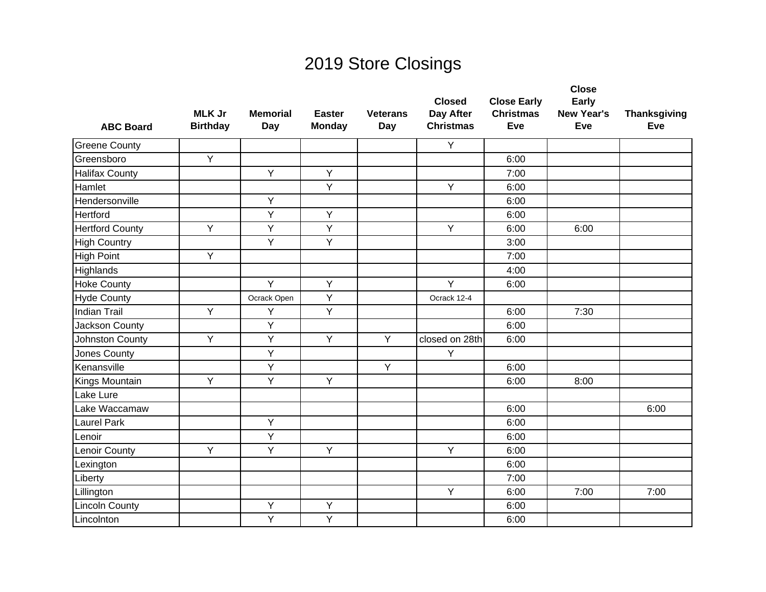| <b>ABC Board</b>       | <b>MLK Jr</b><br><b>Birthday</b> | <b>Memorial</b><br>Day | <b>Easter</b><br><b>Monday</b> | <b>Veterans</b><br>Day | <b>Closed</b><br>Day After<br><b>Christmas</b> | <b>Close Early</b><br><b>Christmas</b><br>Eve | <b>Close</b><br>Early<br><b>New Year's</b><br>Eve | <b>Thanksgiving</b><br>Eve |
|------------------------|----------------------------------|------------------------|--------------------------------|------------------------|------------------------------------------------|-----------------------------------------------|---------------------------------------------------|----------------------------|
| <b>Greene County</b>   |                                  |                        |                                |                        | Y                                              |                                               |                                                   |                            |
| Greensboro             | Y                                |                        |                                |                        |                                                | 6:00                                          |                                                   |                            |
| <b>Halifax County</b>  |                                  | Y                      | Y                              |                        |                                                | 7:00                                          |                                                   |                            |
| Hamlet                 |                                  |                        | Y                              |                        | Y                                              | 6:00                                          |                                                   |                            |
| Hendersonville         |                                  | Y                      |                                |                        |                                                | 6:00                                          |                                                   |                            |
| <b>Hertford</b>        |                                  | Y                      | Y                              |                        |                                                | 6:00                                          |                                                   |                            |
| <b>Hertford County</b> | Y                                | $\overline{Y}$         | $\overline{Y}$                 |                        | Y                                              | 6:00                                          | 6:00                                              |                            |
| <b>High Country</b>    |                                  | Y                      | Y                              |                        |                                                | 3:00                                          |                                                   |                            |
| <b>High Point</b>      | Y                                |                        |                                |                        |                                                | 7:00                                          |                                                   |                            |
| Highlands              |                                  |                        |                                |                        |                                                | 4:00                                          |                                                   |                            |
| <b>Hoke County</b>     |                                  | Y                      | Y                              |                        | Y                                              | 6:00                                          |                                                   |                            |
| <b>Hyde County</b>     |                                  | Ocrack Open            | Y                              |                        | Ocrack 12-4                                    |                                               |                                                   |                            |
| <b>Indian Trail</b>    | Y                                | Y                      | Y                              |                        |                                                | 6:00                                          | 7:30                                              |                            |
| Jackson County         |                                  | Y                      |                                |                        |                                                | 6:00                                          |                                                   |                            |
| Johnston County        | Y                                | Υ                      | Y                              | Y                      | closed on 28th                                 | 6:00                                          |                                                   |                            |
| Jones County           |                                  | Υ                      |                                |                        | Y                                              |                                               |                                                   |                            |
| Kenansville            |                                  | Y                      |                                | Y                      |                                                | 6:00                                          |                                                   |                            |
| Kings Mountain         | Y                                | Y                      | Y                              |                        |                                                | 6:00                                          | 8:00                                              |                            |
| Lake Lure              |                                  |                        |                                |                        |                                                |                                               |                                                   |                            |
| Lake Waccamaw          |                                  |                        |                                |                        |                                                | 6:00                                          |                                                   | 6:00                       |
| <b>Laurel Park</b>     |                                  | Y                      |                                |                        |                                                | 6:00                                          |                                                   |                            |
| Lenoir                 |                                  | Υ                      |                                |                        |                                                | 6:00                                          |                                                   |                            |
| Lenoir County          | Y                                | Y                      | Y                              |                        | Y                                              | 6:00                                          |                                                   |                            |
| Lexington              |                                  |                        |                                |                        |                                                | 6:00                                          |                                                   |                            |
| Liberty                |                                  |                        |                                |                        |                                                | 7:00                                          |                                                   |                            |
| Lillington             |                                  |                        |                                |                        | Y                                              | 6:00                                          | 7:00                                              | 7:00                       |
| <b>Lincoln County</b>  |                                  | Υ                      | Υ                              |                        |                                                | 6:00                                          |                                                   |                            |
| Lincolnton             |                                  | Y                      | Y                              |                        |                                                | 6:00                                          |                                                   |                            |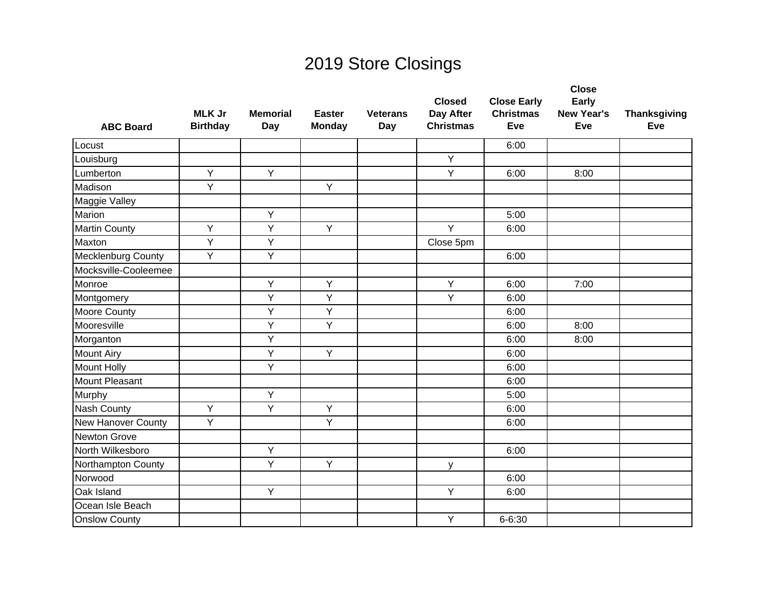| <b>ABC Board</b>          | <b>MLK Jr</b><br><b>Birthday</b> | <b>Memorial</b><br>Day | <b>Easter</b><br><b>Monday</b> | <b>Veterans</b><br>Day | <b>Closed</b><br>Day After<br><b>Christmas</b> | <b>Close Early</b><br><b>Christmas</b><br>Eve | <b>Close</b><br>Early<br><b>New Year's</b><br>Eve | <b>Thanksgiving</b><br>Eve |
|---------------------------|----------------------------------|------------------------|--------------------------------|------------------------|------------------------------------------------|-----------------------------------------------|---------------------------------------------------|----------------------------|
| Locust                    |                                  |                        |                                |                        |                                                | 6:00                                          |                                                   |                            |
| Louisburg                 |                                  |                        |                                |                        | Y                                              |                                               |                                                   |                            |
| Lumberton                 | Y                                | Y                      |                                |                        | Y                                              | 6:00                                          | 8:00                                              |                            |
| Madison                   | Y                                |                        | $\overline{Y}$                 |                        |                                                |                                               |                                                   |                            |
| Maggie Valley             |                                  |                        |                                |                        |                                                |                                               |                                                   |                            |
| Marion                    |                                  | Y                      |                                |                        |                                                | 5:00                                          |                                                   |                            |
| <b>Martin County</b>      | Y                                | Y                      | Y                              |                        | Y                                              | 6:00                                          |                                                   |                            |
| Maxton                    | Y                                | Y                      |                                |                        | Close 5pm                                      |                                               |                                                   |                            |
| <b>Mecklenburg County</b> | Y                                | Y                      |                                |                        |                                                | 6:00                                          |                                                   |                            |
| Mocksville-Cooleemee      |                                  |                        |                                |                        |                                                |                                               |                                                   |                            |
| Monroe                    |                                  | Y                      | Y                              |                        | Y                                              | 6:00                                          | 7:00                                              |                            |
| Montgomery                |                                  | Y                      | Y                              |                        | Y                                              | 6:00                                          |                                                   |                            |
| <b>Moore County</b>       |                                  | Y                      | $\overline{Y}$                 |                        |                                                | 6:00                                          |                                                   |                            |
| Mooresville               |                                  | Y                      | Y                              |                        |                                                | 6:00                                          | 8:00                                              |                            |
| Morganton                 |                                  | Y                      |                                |                        |                                                | 6:00                                          | 8:00                                              |                            |
| <b>Mount Airy</b>         |                                  | Y                      | Y                              |                        |                                                | 6:00                                          |                                                   |                            |
| <b>Mount Holly</b>        |                                  | Y                      |                                |                        |                                                | 6:00                                          |                                                   |                            |
| Mount Pleasant            |                                  |                        |                                |                        |                                                | 6:00                                          |                                                   |                            |
| Murphy                    |                                  | Y                      |                                |                        |                                                | 5:00                                          |                                                   |                            |
| <b>Nash County</b>        | $\overline{Y}$                   | Y                      | $\overline{Y}$                 |                        |                                                | 6:00                                          |                                                   |                            |
| <b>New Hanover County</b> | Y                                |                        | Y                              |                        |                                                | 6:00                                          |                                                   |                            |
| Newton Grove              |                                  |                        |                                |                        |                                                |                                               |                                                   |                            |
| North Wilkesboro          |                                  | Y                      |                                |                        |                                                | 6:00                                          |                                                   |                            |
| Northampton County        |                                  | Y                      | Y                              |                        | y                                              |                                               |                                                   |                            |
| Norwood                   |                                  |                        |                                |                        |                                                | 6:00                                          |                                                   |                            |
| Oak Island                |                                  | Y                      |                                |                        | Y                                              | 6:00                                          |                                                   |                            |
| Ocean Isle Beach          |                                  |                        |                                |                        |                                                |                                               |                                                   |                            |
| <b>Onslow County</b>      |                                  |                        |                                |                        | Y                                              | $6 - 6:30$                                    |                                                   |                            |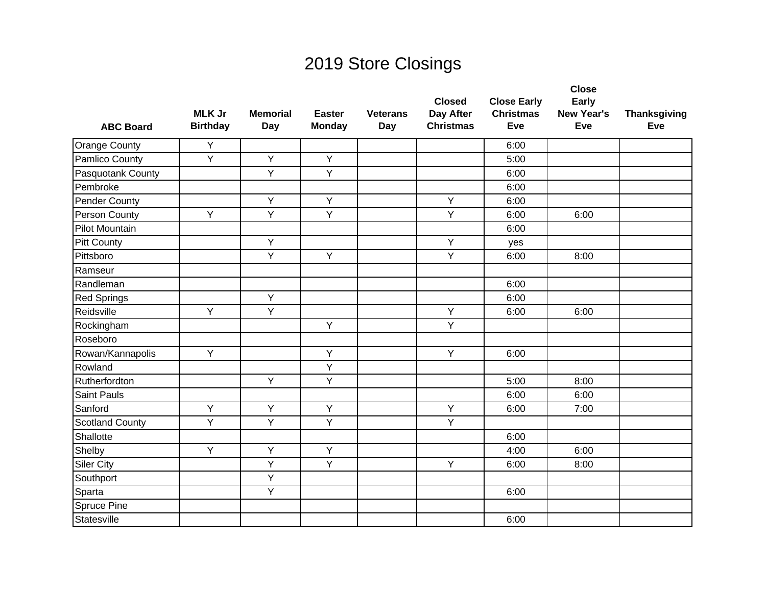|                        |                                  |                        |                                |                        | <b>Closed</b>                 | <b>Close Early</b>      | <b>Close</b><br>Early    |                            |
|------------------------|----------------------------------|------------------------|--------------------------------|------------------------|-------------------------------|-------------------------|--------------------------|----------------------------|
| <b>ABC Board</b>       | <b>MLK Jr</b><br><b>Birthday</b> | <b>Memorial</b><br>Day | <b>Easter</b><br><b>Monday</b> | <b>Veterans</b><br>Day | Day After<br><b>Christmas</b> | <b>Christmas</b><br>Eve | <b>New Year's</b><br>Eve | <b>Thanksgiving</b><br>Eve |
| <b>Orange County</b>   | Y                                |                        |                                |                        |                               | 6:00                    |                          |                            |
| Pamlico County         | Y                                | Y                      | Y                              |                        |                               | 5:00                    |                          |                            |
| Pasquotank County      |                                  | Y                      | Y                              |                        |                               | 6:00                    |                          |                            |
| Pembroke               |                                  |                        |                                |                        |                               | 6:00                    |                          |                            |
| Pender County          |                                  | Y                      | Y                              |                        | Y                             | 6:00                    |                          |                            |
| Person County          | Y                                | Y                      | Y                              |                        | Y                             | 6:00                    | 6:00                     |                            |
| <b>Pilot Mountain</b>  |                                  |                        |                                |                        |                               | 6:00                    |                          |                            |
| <b>Pitt County</b>     |                                  | Y                      |                                |                        | Y                             | yes                     |                          |                            |
| Pittsboro              |                                  | Y                      | Y                              |                        | Y                             | 6:00                    | 8:00                     |                            |
| Ramseur                |                                  |                        |                                |                        |                               |                         |                          |                            |
| Randleman              |                                  |                        |                                |                        |                               | 6:00                    |                          |                            |
| <b>Red Springs</b>     |                                  | Y                      |                                |                        |                               | 6:00                    |                          |                            |
| Reidsville             | Y                                | Y                      |                                |                        | Υ                             | 6:00                    | 6:00                     |                            |
| Rockingham             |                                  |                        | Y                              |                        | Y                             |                         |                          |                            |
| Roseboro               |                                  |                        |                                |                        |                               |                         |                          |                            |
| Rowan/Kannapolis       | Y                                |                        | Y                              |                        | Y                             | 6:00                    |                          |                            |
| Rowland                |                                  |                        | Y                              |                        |                               |                         |                          |                            |
| Rutherfordton          |                                  | Y                      | $\overline{Y}$                 |                        |                               | 5:00                    | 8:00                     |                            |
| <b>Saint Pauls</b>     |                                  |                        |                                |                        |                               | 6:00                    | 6:00                     |                            |
| Sanford                | Y                                | Y                      | $\overline{Y}$                 |                        | Y                             | 6:00                    | 7:00                     |                            |
| <b>Scotland County</b> | Υ                                | Y                      | Y                              |                        | Y                             |                         |                          |                            |
| Shallotte              |                                  |                        |                                |                        |                               | 6:00                    |                          |                            |
| Shelby                 | Y                                | Y                      | Y                              |                        |                               | 4:00                    | 6:00                     |                            |
| <b>Siler City</b>      |                                  | Y                      | Y                              |                        | Y                             | 6:00                    | 8:00                     |                            |
| Southport              |                                  | Y                      |                                |                        |                               |                         |                          |                            |
| Sparta                 |                                  | Y                      |                                |                        |                               | 6:00                    |                          |                            |
| Spruce Pine            |                                  |                        |                                |                        |                               |                         |                          |                            |
| Statesville            |                                  |                        |                                |                        |                               | 6:00                    |                          |                            |